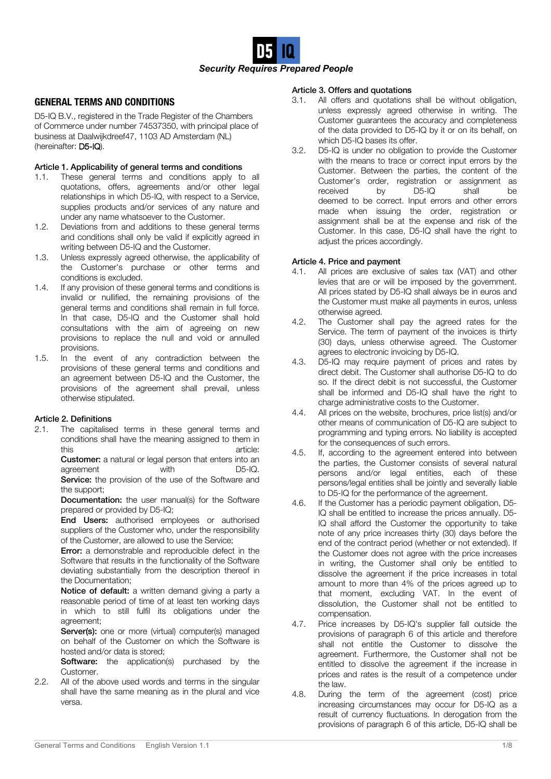

# **GENERAL TERMS AND CONDITIONS**

D5-IQ B.V., registered in the Trade Register of the Chambers of Commerce under number 74537350, with principal place of business at Daalwijkdreef47, 1103 AD Amsterdam (NL) (hereinafter: D5-IQ).

# Article 1. Applicability of general terms and conditions

- 1.1. These general terms and conditions apply to all quotations, offers, agreements and/or other legal relationships in which D5-IQ, with respect to a Service, supplies products and/or services of any nature and under any name whatsoever to the Customer.
- 1.2. Deviations from and additions to these general terms and conditions shall only be valid if explicitly agreed in writing between D5-IQ and the Customer.
- 1.3. Unless expressly agreed otherwise, the applicability of the Customer's purchase or other terms and conditions is excluded.
- 1.4. If any provision of these general terms and conditions is invalid or nullified, the remaining provisions of the general terms and conditions shall remain in full force. In that case, D5-IQ and the Customer shall hold consultations with the aim of agreeing on new provisions to replace the null and void or annulled provisions.
- 1.5. In the event of any contradiction between the provisions of these general terms and conditions and an agreement between D5-IQ and the Customer, the provisions of the agreement shall prevail, unless otherwise stipulated.

# Article 2. Definitions

2.1. The capitalised terms in these general terms and conditions shall have the meaning assigned to them in this article:

> **Customer:** a natural or legal person that enters into an agreement with D5-IQ. Service: the provision of the use of the Software and

> the support;

**Documentation:** the user manual(s) for the Software prepared or provided by D5-IQ;

End Users: authorised employees or authorised suppliers of the Customer who, under the responsibility of the Customer, are allowed to use the Service;

**Error:** a demonstrable and reproducible defect in the Software that results in the functionality of the Software deviating substantially from the description thereof in the Documentation;

Notice of default: a written demand giving a party a reasonable period of time of at least ten working days in which to still fulfil its obligations under the agreement;

Server(s): one or more (virtual) computer(s) managed on behalf of the Customer on which the Software is hosted and/or data is stored;

**Software:** the application(s) purchased by the Customer.

2.2. All of the above used words and terms in the singular shall have the same meaning as in the plural and vice versa.

## Article 3. Offers and quotations

- 3.1. All offers and quotations shall be without obligation, unless expressly agreed otherwise in writing. The Customer guarantees the accuracy and completeness of the data provided to D5-IQ by it or on its behalf, on which D5-IQ bases its offer.
- 3.2. D5-IQ is under no obligation to provide the Customer with the means to trace or correct input errors by the Customer. Between the parties, the content of the Customer's order, registration or assignment as<br>received by D5-IO shall be received by D5-IQ shall be deemed to be correct. Input errors and other errors made when issuing the order, registration or assignment shall be at the expense and risk of the Customer. In this case, D5-IQ shall have the right to adjust the prices accordingly.

### Article 4. Price and payment

- 4.1. All prices are exclusive of sales tax (VAT) and other levies that are or will be imposed by the government. All prices stated by D5-IQ shall always be in euros and the Customer must make all payments in euros, unless otherwise agreed.
- 4.2. The Customer shall pay the agreed rates for the Service. The term of payment of the invoices is thirty (30) days, unless otherwise agreed. The Customer agrees to electronic invoicing by D5-IQ.
- 4.3. D5-IQ may require payment of prices and rates by direct debit. The Customer shall authorise D5-IQ to do so. If the direct debit is not successful, the Customer shall be informed and D5-IQ shall have the right to charge administrative costs to the Customer.
- 4.4. All prices on the website, brochures, price list(s) and/or other means of communication of D5-IQ are subject to programming and typing errors. No liability is accepted for the consequences of such errors.
- 4.5. If, according to the agreement entered into between the parties, the Customer consists of several natural persons and/or legal entities, each of these persons/legal entities shall be jointly and severally liable to D5-IQ for the performance of the agreement.
- 4.6. If the Customer has a periodic payment obligation, D5- IQ shall be entitled to increase the prices annually. D5- IQ shall afford the Customer the opportunity to take note of any price increases thirty (30) days before the end of the contract period (whether or not extended). If the Customer does not agree with the price increases in writing, the Customer shall only be entitled to dissolve the agreement if the price increases in total amount to more than 4% of the prices agreed up to that moment, excluding VAT. In the event of dissolution, the Customer shall not be entitled to compensation.
- 4.7. Price increases by D5-IQ's supplier fall outside the provisions of paragraph 6 of this article and therefore shall not entitle the Customer to dissolve the agreement. Furthermore, the Customer shall not be entitled to dissolve the agreement if the increase in prices and rates is the result of a competence under the law.
- 4.8. During the term of the agreement (cost) price increasing circumstances may occur for D5-IQ as a result of currency fluctuations. In derogation from the provisions of paragraph 6 of this article, D5-IQ shall be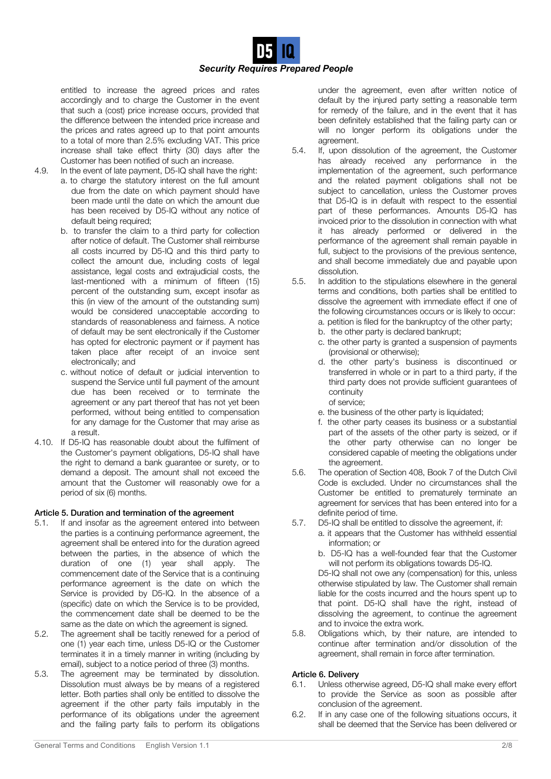

entitled to increase the agreed prices and rates accordingly and to charge the Customer in the event that such a (cost) price increase occurs, provided that the difference between the intended price increase and the prices and rates agreed up to that point amounts to a total of more than 2.5% excluding VAT. This price increase shall take effect thirty (30) days after the Customer has been notified of such an increase.

- 
- 4.9. In the event of late payment, D5-IQ shall have the right:
	- a. to charge the statutory interest on the full amount due from the date on which payment should have been made until the date on which the amount due has been received by D5-IQ without any notice of default being required;
	- b. to transfer the claim to a third party for collection after notice of default. The Customer shall reimburse all costs incurred by D5-IQ and this third party to collect the amount due, including costs of legal assistance, legal costs and extrajudicial costs, the last-mentioned with a minimum of fifteen (15) percent of the outstanding sum, except insofar as this (in view of the amount of the outstanding sum) would be considered unacceptable according to standards of reasonableness and fairness. A notice of default may be sent electronically if the Customer has opted for electronic payment or if payment has taken place after receipt of an invoice sent electronically; and
	- c. without notice of default or judicial intervention to suspend the Service until full payment of the amount due has been received or to terminate the agreement or any part thereof that has not yet been performed, without being entitled to compensation for any damage for the Customer that may arise as a result.
- 4.10. If D5-IQ has reasonable doubt about the fulfilment of the Customer's payment obligations, D5-IQ shall have the right to demand a bank guarantee or surety, or to demand a deposit. The amount shall not exceed the amount that the Customer will reasonably owe for a period of six (6) months.

# Article 5. Duration and termination of the agreement

- 5.1. If and insofar as the agreement entered into between the parties is a continuing performance agreement, the agreement shall be entered into for the duration agreed between the parties, in the absence of which the duration of one (1) year shall apply. The commencement date of the Service that is a continuing performance agreement is the date on which the Service is provided by D5-IQ. In the absence of a (specific) date on which the Service is to be provided, the commencement date shall be deemed to be the same as the date on which the agreement is signed.
- 5.2. The agreement shall be tacitly renewed for a period of one (1) year each time, unless D5-IQ or the Customer terminates it in a timely manner in writing (including by email), subject to a notice period of three (3) months.
- 5.3. The agreement may be terminated by dissolution. Dissolution must always be by means of a registered letter. Both parties shall only be entitled to dissolve the agreement if the other party fails imputably in the performance of its obligations under the agreement and the failing party fails to perform its obligations

under the agreement, even after written notice of default by the injured party setting a reasonable term for remedy of the failure, and in the event that it has been definitely established that the failing party can or will no longer perform its obligations under the agreement.

- 5.4. If, upon dissolution of the agreement, the Customer has already received any performance in the implementation of the agreement, such performance and the related payment obligations shall not be subject to cancellation, unless the Customer proves that D5-IQ is in default with respect to the essential part of these performances. Amounts D5-IQ has invoiced prior to the dissolution in connection with what it has already performed or delivered in the performance of the agreement shall remain payable in full, subject to the provisions of the previous sentence, and shall become immediately due and payable upon dissolution.
- 5.5. In addition to the stipulations elsewhere in the general terms and conditions, both parties shall be entitled to dissolve the agreement with immediate effect if one of the following circumstances occurs or is likely to occur: a. petition is filed for the bankruptcy of the other party;
	- b. the other party is declared bankrupt;
	- c. the other party is granted a suspension of payments (provisional or otherwise);
	- d. the other party's business is discontinued or transferred in whole or in part to a third party, if the third party does not provide sufficient guarantees of continuity of service;
	- e. the business of the other party is liquidated;
	- f. the other party ceases its business or a substantial part of the assets of the other party is seized, or if the other party otherwise can no longer be considered capable of meeting the obligations under the agreement.
- 5.6. The operation of Section 408, Book 7 of the Dutch Civil Code is excluded. Under no circumstances shall the Customer be entitled to prematurely terminate an agreement for services that has been entered into for a definite period of time.
- 5.7. D5-IQ shall be entitled to dissolve the agreement, if:
	- a. it appears that the Customer has withheld essential information; or
		- b. D5-IQ has a well-founded fear that the Customer will not perform its obligations towards D5-IQ.

D5-IQ shall not owe any (compensation) for this, unless otherwise stipulated by law. The Customer shall remain liable for the costs incurred and the hours spent up to that point. D5-IQ shall have the right, instead of dissolving the agreement, to continue the agreement and to invoice the extra work.

5.8. Obligations which, by their nature, are intended to continue after termination and/or dissolution of the agreement, shall remain in force after termination.

# Article 6. Delivery

- 6.1. Unless otherwise agreed, D5-IQ shall make every effort to provide the Service as soon as possible after conclusion of the agreement.
- 6.2. If in any case one of the following situations occurs, it shall be deemed that the Service has been delivered or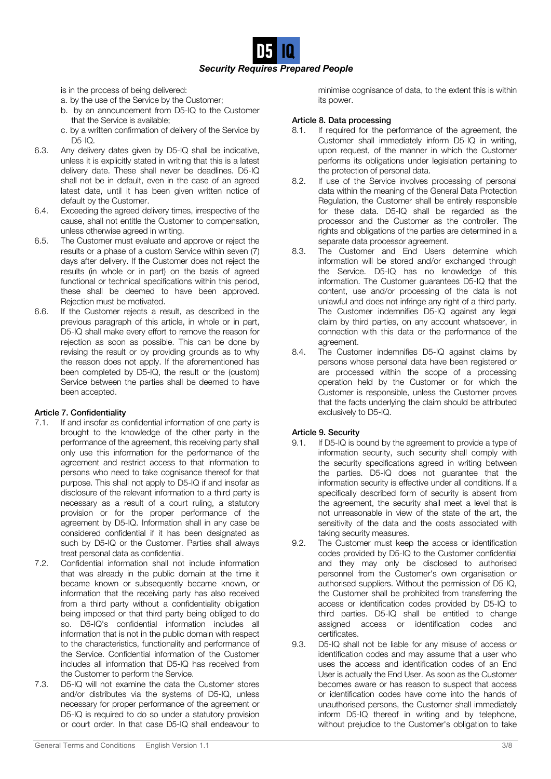*Security Requires Prepared People*

is in the process of being delivered:

- a. by the use of the Service by the Customer;
- b. by an announcement from D5-IQ to the Customer that the Service is available;
- c. by a written confirmation of delivery of the Service by  $D5-IQ$ .
- 6.3. Any delivery dates given by D5-IQ shall be indicative, unless it is explicitly stated in writing that this is a latest delivery date. These shall never be deadlines. D5-IQ shall not be in default, even in the case of an agreed latest date, until it has been given written notice of default by the Customer.
- 6.4. Exceeding the agreed delivery times, irrespective of the cause, shall not entitle the Customer to compensation, unless otherwise agreed in writing.
- 6.5. The Customer must evaluate and approve or reject the results or a phase of a custom Service within seven (7) days after delivery. If the Customer does not reject the results (in whole or in part) on the basis of agreed functional or technical specifications within this period, these shall be deemed to have been approved. Rejection must be motivated.
- 6.6. If the Customer rejects a result, as described in the previous paragraph of this article, in whole or in part, D5-IQ shall make every effort to remove the reason for rejection as soon as possible. This can be done by revising the result or by providing grounds as to why the reason does not apply. If the aforementioned has been completed by D5-IQ, the result or the (custom) Service between the parties shall be deemed to have been accepted.

# Article 7. Confidentiality

- 7.1. If and insofar as confidential information of one party is brought to the knowledge of the other party in the performance of the agreement, this receiving party shall only use this information for the performance of the agreement and restrict access to that information to persons who need to take cognisance thereof for that purpose. This shall not apply to D5-IQ if and insofar as disclosure of the relevant information to a third party is necessary as a result of a court ruling, a statutory provision or for the proper performance of the agreement by D5-IQ. Information shall in any case be considered confidential if it has been designated as such by D5-IQ or the Customer. Parties shall always treat personal data as confidential.
- 7.2. Confidential information shall not include information that was already in the public domain at the time it became known or subsequently became known, or information that the receiving party has also received from a third party without a confidentiality obligation being imposed or that third party being obliged to do so. D5-IQ's confidential information includes all information that is not in the public domain with respect to the characteristics, functionality and performance of the Service. Confidential information of the Customer includes all information that D5-IQ has received from the Customer to perform the Service.
- 7.3. D5-IQ will not examine the data the Customer stores and/or distributes via the systems of D5-IQ, unless necessary for proper performance of the agreement or D5-IQ is required to do so under a statutory provision or court order. In that case D5-IQ shall endeavour to

## Article 8. Data processing

- 8.1. If required for the performance of the agreement, the Customer shall immediately inform D5-IQ in writing, upon request, of the manner in which the Customer performs its obligations under legislation pertaining to the protection of personal data.
- 8.2. If use of the Service involves processing of personal data within the meaning of the General Data Protection Regulation, the Customer shall be entirely responsible for these data. D5-IQ shall be regarded as the processor and the Customer as the controller. The rights and obligations of the parties are determined in a separate data processor agreement.
- 8.3. The Customer and End Users determine which information will be stored and/or exchanged through the Service. D5-IQ has no knowledge of this information. The Customer guarantees D5-IQ that the content, use and/or processing of the data is not unlawful and does not infringe any right of a third party. The Customer indemnifies D5-IQ against any legal claim by third parties, on any account whatsoever, in connection with this data or the performance of the agreement.
- 8.4. The Customer indemnifies D5-IQ against claims by persons whose personal data have been registered or are processed within the scope of a processing operation held by the Customer or for which the Customer is responsible, unless the Customer proves that the facts underlying the claim should be attributed exclusively to D5-IQ.

# Article 9. Security

- 9.1. If D5-IQ is bound by the agreement to provide a type of information security, such security shall comply with the security specifications agreed in writing between the parties. D5-IQ does not guarantee that the information security is effective under all conditions. If a specifically described form of security is absent from the agreement, the security shall meet a level that is not unreasonable in view of the state of the art, the sensitivity of the data and the costs associated with taking security measures.
- 9.2. The Customer must keep the access or identification codes provided by D5-IQ to the Customer confidential and they may only be disclosed to authorised personnel from the Customer's own organisation or authorised suppliers. Without the permission of D5-IQ, the Customer shall be prohibited from transferring the access or identification codes provided by D5-IQ to third parties. D5-IQ shall be entitled to change assigned access or identification codes and certificates.
- 9.3. D5-IQ shall not be liable for any misuse of access or identification codes and may assume that a user who uses the access and identification codes of an End User is actually the End User. As soon as the Customer becomes aware or has reason to suspect that access or identification codes have come into the hands of unauthorised persons, the Customer shall immediately inform D5-IQ thereof in writing and by telephone, without prejudice to the Customer's obligation to take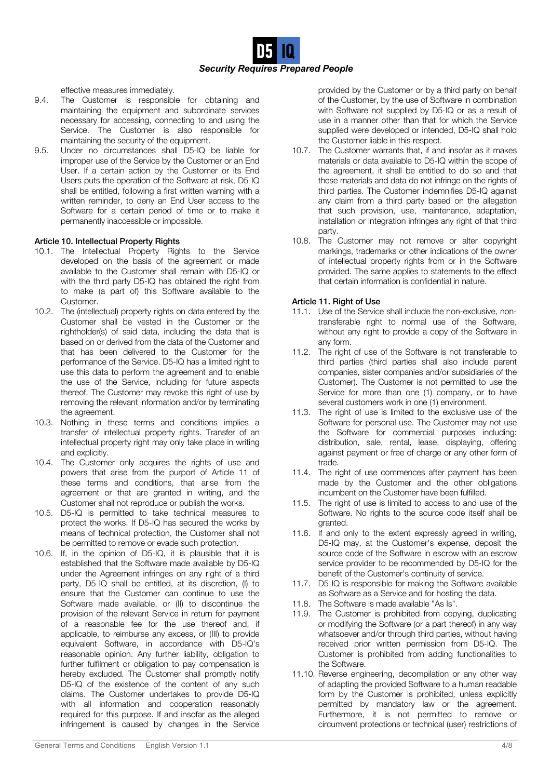*Security Requires Prepared People*

effective measures immediately.

- 9.4. The Customer is responsible for obtaining and maintaining the equipment and subordinate services necessary for accessing, connecting to and using the Service. The Customer is also responsible for maintaining the security of the equipment.
- 9.5. Under no circumstances shall D5-IQ be liable for improper use of the Service by the Customer or an End User. If a certain action by the Customer or its End Users puts the operation of the Software at risk, D5-IQ shall be entitled, following a first written warning with a written reminder, to deny an End User access to the Software for a certain period of time or to make it permanently inaccessible or impossible.

### Article 10. Intellectual Property Rights

- 10.1. The Intellectual Property Rights to the Service developed on the basis of the agreement or made available to the Customer shall remain with D5-IQ or with the third party D5-IQ has obtained the right from to make (a part of) this Software available to the Customer.
- 10.2. The (intellectual) property rights on data entered by the Customer shall be vested in the Customer or the rightholder(s) of said data, including the data that is based on or derived from the data of the Customer and that has been delivered to the Customer for the performance of the Service. D5-IQ has a limited right to use this data to perform the agreement and to enable the use of the Service, including for future aspects thereof. The Customer may revoke this right of use by removing the relevant information and/or by terminating the agreement.
- 10.3. Nothing in these terms and conditions implies a transfer of intellectual property rights. Transfer of an intellectual property right may only take place in writing and explicitly.
- 10.4. The Customer only acquires the rights of use and powers that arise from the purport of Article 11 of these terms and conditions, that arise from the agreement or that are granted in writing, and the Customer shall not reproduce or publish the works.
- 10.5. D5-IQ is permitted to take technical measures to protect the works. If D5-IQ has secured the works by means of technical protection, the Customer shall not be permitted to remove or evade such protection.
- 10.6. If, in the opinion of D5-IQ, it is plausible that it is established that the Software made available by D5-IQ under the Agreement infringes on any right of a third party, D5-IQ shall be entitled, at its discretion, (I) to ensure that the Customer can continue to use the Software made available, or (II) to discontinue the provision of the relevant Service in return for payment of a reasonable fee for the use thereof and, if applicable, to reimburse any excess, or (III) to provide equivalent Software, in accordance with D5-IQ's reasonable opinion. Any further liability, obligation to further fulfilment or obligation to pay compensation is hereby excluded. The Customer shall promptly notify D5-IQ of the existence of the content of any such claims. The Customer undertakes to provide D5-IQ with all information and cooperation reasonably required for this purpose. If and insofar as the alleged infringement is caused by changes in the Service

provided by the Customer or by a third party on behalf of the Customer, by the use of Software in combination with Software not supplied by D5-IQ or as a result of use in a manner other than that for which the Service supplied were developed or intended, D5-IQ shall hold the Customer liable in this respect.

- 10.7. The Customer warrants that, if and insofar as it makes materials or data available to D5-IQ within the scope of the agreement, it shall be entitled to do so and that these materials and data do not infringe on the rights of third parties. The Customer indemnifies D5-IQ against any claim from a third party based on the allegation that such provision, use, maintenance, adaptation, installation or integration infringes any right of that third party.
- 10.8. The Customer may not remove or alter copyright markings, trademarks or other indications of the owner of intellectual property rights from or in the Software provided. The same applies to statements to the effect that certain information is confidential in nature.

### Article 11. Right of Use

- 11.1. Use of the Service shall include the non-exclusive, nontransferable right to normal use of the Software, without any right to provide a copy of the Software in any form.
- 11.2. The right of use of the Software is not transferable to third parties (third parties shall also include parent companies, sister companies and/or subsidiaries of the Customer). The Customer is not permitted to use the Service for more than one (1) company, or to have several customers work in one (1) environment.
- 11.3. The right of use is limited to the exclusive use of the Software for personal use. The Customer may not use the Software for commercial purposes including: distribution, sale, rental, lease, displaying, offering against payment or free of charge or any other form of trade.
- 11.4. The right of use commences after payment has been made by the Customer and the other obligations incumbent on the Customer have been fulfilled.
- 11.5. The right of use is limited to access to and use of the Software. No rights to the source code itself shall be granted.
- 11.6. If and only to the extent expressly agreed in writing, D5-IQ may, at the Customer's expense, deposit the source code of the Software in escrow with an escrow service provider to be recommended by D5-IQ for the benefit of the Customer's continuity of service.
- 11.7. D5-IQ is responsible for making the Software available as Software as a Service and for hosting the data.
- 11.8. The Software is made available "As Is".
- 11.9. The Customer is prohibited from copying, duplicating or modifying the Software (or a part thereof) in any way whatsoever and/or through third parties, without having received prior written permission from D5-IQ. The Customer is prohibited from adding functionalities to the Software.
- 11.10. Reverse engineering, decompilation or any other way of adapting the provided Software to a human readable form by the Customer is prohibited, unless explicitly permitted by mandatory law or the agreement. Furthermore, it is not permitted to remove or circumvent protections or technical (user) restrictions of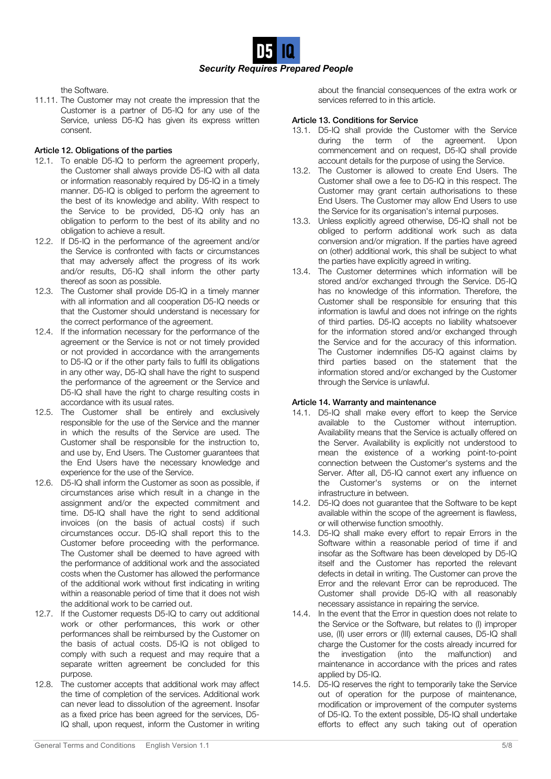

the Software.

11.11. The Customer may not create the impression that the Customer is a partner of D5-IQ for any use of the Service, unless D5-IQ has given its express written consent.

# Article 12. Obligations of the parties

- 12.1. To enable D5-IQ to perform the agreement properly, the Customer shall always provide D5-IQ with all data or information reasonably required by D5-IQ in a timely manner. D5-IQ is obliged to perform the agreement to the best of its knowledge and ability. With respect to the Service to be provided, D5-IQ only has an obligation to perform to the best of its ability and no obligation to achieve a result.
- 12.2. If D5-IQ in the performance of the agreement and/or the Service is confronted with facts or circumstances that may adversely affect the progress of its work and/or results, D5-IQ shall inform the other party thereof as soon as possible.
- 12.3. The Customer shall provide D5-IQ in a timely manner with all information and all cooperation D5-IQ needs or that the Customer should understand is necessary for the correct performance of the agreement.
- 12.4. If the information necessary for the performance of the agreement or the Service is not or not timely provided or not provided in accordance with the arrangements to D5-IQ or if the other party fails to fulfil its obligations in any other way, D5-IQ shall have the right to suspend the performance of the agreement or the Service and D5-IQ shall have the right to charge resulting costs in accordance with its usual rates.
- 12.5. The Customer shall be entirely and exclusively responsible for the use of the Service and the manner in which the results of the Service are used. The Customer shall be responsible for the instruction to, and use by, End Users. The Customer guarantees that the End Users have the necessary knowledge and experience for the use of the Service.
- 12.6. D5-IQ shall inform the Customer as soon as possible, if circumstances arise which result in a change in the assignment and/or the expected commitment and time. D5-IQ shall have the right to send additional invoices (on the basis of actual costs) if such circumstances occur. D5-IQ shall report this to the Customer before proceeding with the performance. The Customer shall be deemed to have agreed with the performance of additional work and the associated costs when the Customer has allowed the performance of the additional work without first indicating in writing within a reasonable period of time that it does not wish the additional work to be carried out.
- 12.7. If the Customer requests D5-IQ to carry out additional work or other performances, this work or other performances shall be reimbursed by the Customer on the basis of actual costs. D5-IQ is not obliged to comply with such a request and may require that a separate written agreement be concluded for this purpose.
- 12.8. The customer accepts that additional work may affect the time of completion of the services. Additional work can never lead to dissolution of the agreement. Insofar as a fixed price has been agreed for the services, D5- IQ shall, upon request, inform the Customer in writing

about the financial consequences of the extra work or services referred to in this article.

# Article 13. Conditions for Service

- 13.1. D5-IQ shall provide the Customer with the Service during the term of the agreement. Upon commencement and on request, D5-IQ shall provide account details for the purpose of using the Service.
- 13.2. The Customer is allowed to create End Users. The Customer shall owe a fee to D5-IQ in this respect. The Customer may grant certain authorisations to these End Users. The Customer may allow End Users to use the Service for its organisation's internal purposes.
- 13.3. Unless explicitly agreed otherwise, D5-IQ shall not be obliged to perform additional work such as data conversion and/or migration. If the parties have agreed on (other) additional work, this shall be subject to what the parties have explicitly agreed in writing.
- 13.4. The Customer determines which information will be stored and/or exchanged through the Service. D5-IQ has no knowledge of this information. Therefore, the Customer shall be responsible for ensuring that this information is lawful and does not infringe on the rights of third parties. D5-IQ accepts no liability whatsoever for the information stored and/or exchanged through the Service and for the accuracy of this information. The Customer indemnifies D5-IQ against claims by third parties based on the statement that the information stored and/or exchanged by the Customer through the Service is unlawful.

### Article 14. Warranty and maintenance

- 14.1. D5-IQ shall make every effort to keep the Service available to the Customer without interruption. Availability means that the Service is actually offered on the Server. Availability is explicitly not understood to mean the existence of a working point-to-point connection between the Customer's systems and the Server. After all, D5-IQ cannot exert any influence on the Customer's systems or on the internet infrastructure in between.
- 14.2. D5-IQ does not guarantee that the Software to be kept available within the scope of the agreement is flawless, or will otherwise function smoothly.
- 14.3. D5-IQ shall make every effort to repair Errors in the Software within a reasonable period of time if and insofar as the Software has been developed by D5-IQ itself and the Customer has reported the relevant defects in detail in writing. The Customer can prove the Error and the relevant Error can be reproduced. The Customer shall provide D5-IQ with all reasonably necessary assistance in repairing the service.
- 14.4. In the event that the Error in question does not relate to the Service or the Software, but relates to (I) improper use, (II) user errors or (III) external causes, D5-IQ shall charge the Customer for the costs already incurred for the investigation (into the malfunction) and maintenance in accordance with the prices and rates applied by D5-IQ.
- 14.5. D5-IQ reserves the right to temporarily take the Service out of operation for the purpose of maintenance, modification or improvement of the computer systems of D5-IQ. To the extent possible, D5-IQ shall undertake efforts to effect any such taking out of operation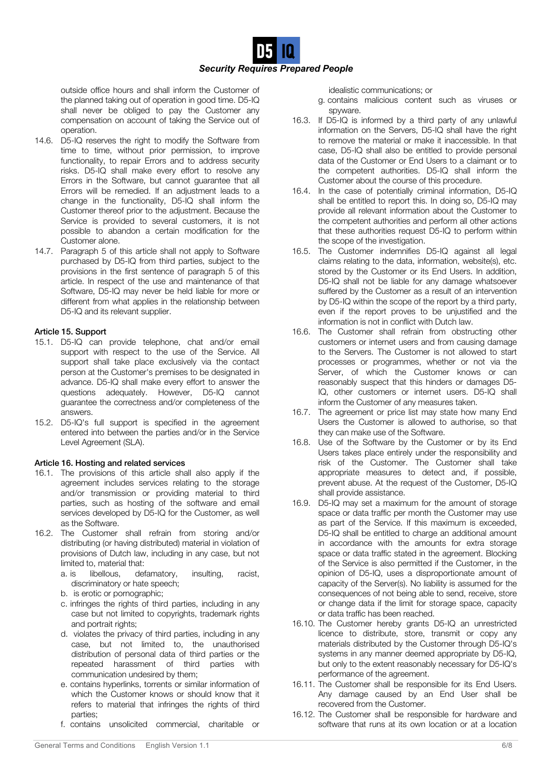

outside office hours and shall inform the Customer of the planned taking out of operation in good time. D5-IQ shall never be obliged to pay the Customer any compensation on account of taking the Service out of operation.

- 14.6. D5-IQ reserves the right to modify the Software from time to time, without prior permission, to improve functionality, to repair Errors and to address security risks. D5-IQ shall make every effort to resolve any Errors in the Software, but cannot guarantee that all Errors will be remedied. If an adjustment leads to a change in the functionality, D5-IQ shall inform the Customer thereof prior to the adjustment. Because the Service is provided to several customers, it is not possible to abandon a certain modification for the Customer alone.
- 14.7. Paragraph 5 of this article shall not apply to Software purchased by D5-IQ from third parties, subject to the provisions in the first sentence of paragraph 5 of this article. In respect of the use and maintenance of that Software, D5-IQ may never be held liable for more or different from what applies in the relationship between D5-IQ and its relevant supplier.

# Article 15. Support

- 15.1. D5-IQ can provide telephone, chat and/or email support with respect to the use of the Service. All support shall take place exclusively via the contact person at the Customer's premises to be designated in advance. D5-IQ shall make every effort to answer the questions adequately. However, D5-IQ cannot guarantee the correctness and/or completeness of the answers.
- 15.2. D5-IQ's full support is specified in the agreement entered into between the parties and/or in the Service Level Agreement (SLA).

### Article 16. Hosting and related services

- 16.1. The provisions of this article shall also apply if the agreement includes services relating to the storage and/or transmission or providing material to third parties, such as hosting of the software and email services developed by D5-IQ for the Customer, as well as the Software.
- 16.2. The Customer shall refrain from storing and/or distributing (or having distributed) material in violation of provisions of Dutch law, including in any case, but not limited to, material that:
	- a. is libellous, defamatory, insulting, racist, discriminatory or hate speech;
	- b. is erotic or pornographic;
	- c. infringes the rights of third parties, including in any case but not limited to copyrights, trademark rights and portrait rights:
	- d. violates the privacy of third parties, including in any case, but not limited to, the unauthorised distribution of personal data of third parties or the repeated harassment of third parties with communication undesired by them;
	- e. contains hyperlinks, torrents or similar information of which the Customer knows or should know that it refers to material that infringes the rights of third parties;
	- f. contains unsolicited commercial, charitable or

idealistic communications; or

- g. contains malicious content such as viruses or spyware.
- 16.3. If D5-IQ is informed by a third party of any unlawful information on the Servers, D5-IQ shall have the right to remove the material or make it inaccessible. In that case, D5-IQ shall also be entitled to provide personal data of the Customer or End Users to a claimant or to the competent authorities. D5-IQ shall inform the Customer about the course of this procedure.
- 16.4. In the case of potentially criminal information, D5-IQ shall be entitled to report this. In doing so, D5-IQ may provide all relevant information about the Customer to the competent authorities and perform all other actions that these authorities request D5-IQ to perform within the scope of the investigation.
- 16.5. The Customer indemnifies D5-IQ against all legal claims relating to the data, information, website(s), etc. stored by the Customer or its End Users. In addition, D5-IQ shall not be liable for any damage whatsoever suffered by the Customer as a result of an intervention by D5-IQ within the scope of the report by a third party, even if the report proves to be unjustified and the information is not in conflict with Dutch law.
- 16.6. The Customer shall refrain from obstructing other customers or internet users and from causing damage to the Servers. The Customer is not allowed to start processes or programmes, whether or not via the Server, of which the Customer knows or can reasonably suspect that this hinders or damages D5- IQ, other customers or internet users. D5-IQ shall inform the Customer of any measures taken.
- 16.7. The agreement or price list may state how many End Users the Customer is allowed to authorise, so that they can make use of the Software.
- 16.8. Use of the Software by the Customer or by its End Users takes place entirely under the responsibility and risk of the Customer. The Customer shall take appropriate measures to detect and, if possible, prevent abuse. At the request of the Customer, D5-IQ shall provide assistance.
- 16.9. D5-IQ may set a maximum for the amount of storage space or data traffic per month the Customer may use as part of the Service. If this maximum is exceeded, D5-IQ shall be entitled to charge an additional amount in accordance with the amounts for extra storage space or data traffic stated in the agreement. Blocking of the Service is also permitted if the Customer, in the opinion of D5-IQ, uses a disproportionate amount of capacity of the Server(s). No liability is assumed for the consequences of not being able to send, receive, store or change data if the limit for storage space, capacity or data traffic has been reached.
- 16.10. The Customer hereby grants D5-IQ an unrestricted licence to distribute, store, transmit or copy any materials distributed by the Customer through D5-IQ's systems in any manner deemed appropriate by D5-IQ, but only to the extent reasonably necessary for D5-IQ's performance of the agreement.
- 16.11. The Customer shall be responsible for its End Users. Any damage caused by an End User shall be recovered from the Customer.
- 16.12. The Customer shall be responsible for hardware and software that runs at its own location or at a location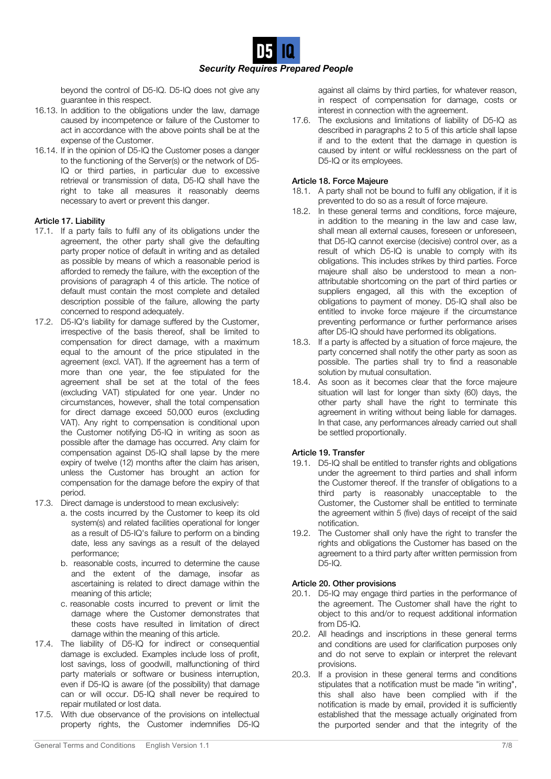

beyond the control of D5-IQ. D5-IQ does not give any guarantee in this respect.

- 16.13. In addition to the obligations under the law, damage caused by incompetence or failure of the Customer to act in accordance with the above points shall be at the expense of the Customer.
- 16.14. If in the opinion of D5-IQ the Customer poses a danger to the functioning of the Server(s) or the network of D5- IQ or third parties, in particular due to excessive retrieval or transmission of data, D5-IQ shall have the right to take all measures it reasonably deems necessary to avert or prevent this danger.

### Article 17. Liability

- 17.1. If a party fails to fulfil any of its obligations under the agreement, the other party shall give the defaulting party proper notice of default in writing and as detailed as possible by means of which a reasonable period is afforded to remedy the failure, with the exception of the provisions of paragraph 4 of this article. The notice of default must contain the most complete and detailed description possible of the failure, allowing the party concerned to respond adequately.
- 17.2. D5-IQ's liability for damage suffered by the Customer, irrespective of the basis thereof, shall be limited to compensation for direct damage, with a maximum equal to the amount of the price stipulated in the agreement (excl. VAT). If the agreement has a term of more than one year, the fee stipulated for the agreement shall be set at the total of the fees (excluding VAT) stipulated for one year. Under no circumstances, however, shall the total compensation for direct damage exceed 50,000 euros (excluding VAT). Any right to compensation is conditional upon the Customer notifying D5-IQ in writing as soon as possible after the damage has occurred. Any claim for compensation against D5-IQ shall lapse by the mere expiry of twelve (12) months after the claim has arisen, unless the Customer has brought an action for compensation for the damage before the expiry of that period.
- 17.3. Direct damage is understood to mean exclusively:
	- a. the costs incurred by the Customer to keep its old system(s) and related facilities operational for longer as a result of D5-IQ's failure to perform on a binding date, less any savings as a result of the delayed performance;
	- b. reasonable costs, incurred to determine the cause and the extent of the damage, insofar as ascertaining is related to direct damage within the meaning of this article;
	- c. reasonable costs incurred to prevent or limit the damage where the Customer demonstrates that these costs have resulted in limitation of direct damage within the meaning of this article.
- 17.4. The liability of D5-IQ for indirect or consequential damage is excluded. Examples include loss of profit, lost savings, loss of goodwill, malfunctioning of third party materials or software or business interruption, even if D5-IQ is aware (of the possibility) that damage can or will occur. D5-IQ shall never be required to repair mutilated or lost data.
- 17.5. With due observance of the provisions on intellectual property rights, the Customer indemnifies D5-IQ

against all claims by third parties, for whatever reason, in respect of compensation for damage, costs or interest in connection with the agreement.

17.6. The exclusions and limitations of liability of D5-IQ as described in paragraphs 2 to 5 of this article shall lapse if and to the extent that the damage in question is caused by intent or wilful recklessness on the part of D5-IQ or its employees.

### Article 18. Force Majeure

- 18.1. A party shall not be bound to fulfil any obligation, if it is prevented to do so as a result of force majeure.
- 18.2. In these general terms and conditions, force majeure, in addition to the meaning in the law and case law, shall mean all external causes, foreseen or unforeseen, that D5-IQ cannot exercise (decisive) control over, as a result of which D5-IQ is unable to comply with its obligations. This includes strikes by third parties. Force majeure shall also be understood to mean a nonattributable shortcoming on the part of third parties or suppliers engaged, all this with the exception of obligations to payment of money. D5-IQ shall also be entitled to invoke force majeure if the circumstance preventing performance or further performance arises after D5-IQ should have performed its obligations.
- 18.3. If a party is affected by a situation of force majeure, the party concerned shall notify the other party as soon as possible. The parties shall try to find a reasonable solution by mutual consultation.
- 18.4. As soon as it becomes clear that the force majeure situation will last for longer than sixty (60) days, the other party shall have the right to terminate this agreement in writing without being liable for damages. In that case, any performances already carried out shall be settled proportionally.

# Article 19. Transfer

- 19.1. D5-IQ shall be entitled to transfer rights and obligations under the agreement to third parties and shall inform the Customer thereof. If the transfer of obligations to a third party is reasonably unacceptable to the Customer, the Customer shall be entitled to terminate the agreement within 5 (five) days of receipt of the said notification.
- 19.2. The Customer shall only have the right to transfer the rights and obligations the Customer has based on the agreement to a third party after written permission from D5-IQ.

# Article 20. Other provisions

- 20.1. D5-IQ may engage third parties in the performance of the agreement. The Customer shall have the right to object to this and/or to request additional information from D5-IQ.
- 20.2. All headings and inscriptions in these general terms and conditions are used for clarification purposes only and do not serve to explain or interpret the relevant provisions.
- 20.3. If a provision in these general terms and conditions stipulates that a notification must be made "in writing", this shall also have been complied with if the notification is made by email, provided it is sufficiently established that the message actually originated from the purported sender and that the integrity of the